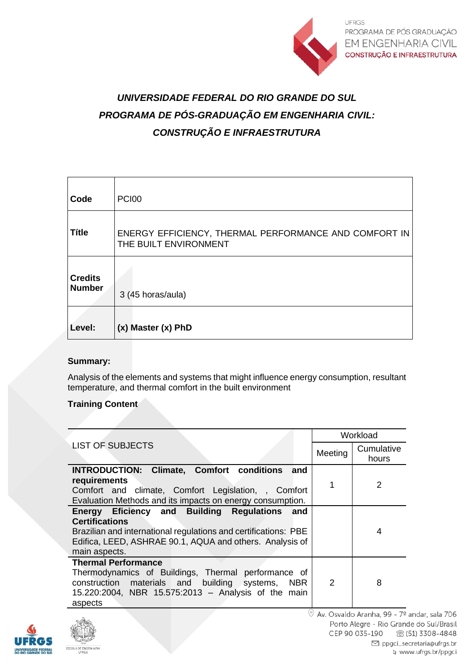

# *UNIVERSIDADE FEDERAL DO RIO GRANDE DO SUL PROGRAMA DE PÓS-GRADUAÇÃO EM ENGENHARIA CIVIL: CONSTRUÇÃO E INFRAESTRUTURA*

| Code                            | <b>PCI00</b>                                                                   |
|---------------------------------|--------------------------------------------------------------------------------|
| <b>Títle</b>                    | ENERGY EFFICIENCY, THERMAL PERFORMANCE AND COMFORT IN<br>THE BUILT ENVIRONMENT |
| <b>Credits</b><br><b>Number</b> | 3 (45 horas/aula)                                                              |
| Level:                          | (x) Master (x) PhD                                                             |

## **Summary:**

Analysis of the elements and systems that might influence energy consumption, resultant temperature, and thermal comfort in the built environment

## **Training Content**

|                                                                                                                                                                                                                        | Workload       |                     |
|------------------------------------------------------------------------------------------------------------------------------------------------------------------------------------------------------------------------|----------------|---------------------|
| <b>LIST OF SUBJECTS</b>                                                                                                                                                                                                | Meeting        | Cumulative<br>hours |
| <b>INTRODUCTION: Climate, Comfort conditions</b><br>and<br>requirements<br>Comfort and climate, Comfort Legislation, , Comfort<br>Evaluation Methods and its impacts on energy consumption.                            | 1              | 2                   |
| Energy Eficiency and Building Regulations and<br><b>Certifications</b><br>Brazilian and international regulations and certifications: PBE<br>Edifica, LEED, ASHRAE 90.1, AQUA and others. Analysis of<br>main aspects. |                | 4                   |
| <b>Thermal Performance</b><br>Thermodynamics of Buildings, Thermal performance of<br>construction materials and building systems, NBR<br>15.220:2004, NBR 15.575:2013 - Analysis of the main<br>aspects                | $\overline{2}$ | 8                   |

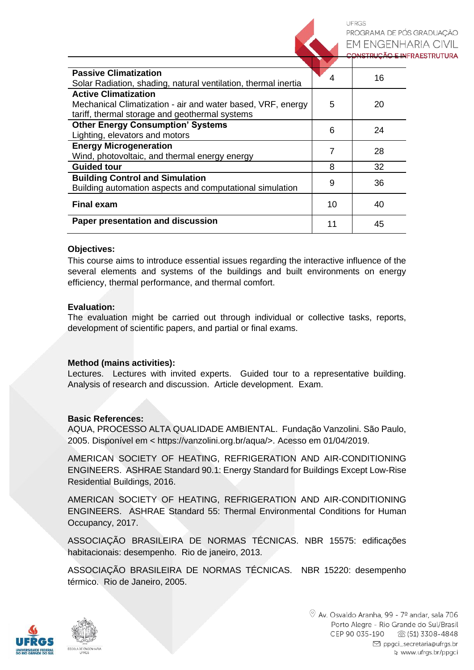LIERGS PROGRAMA DE PÓS GRADUACÃO EM ENGENHARIA CIVIL CONSTRUÇÃO E INFRAESTRUTURA

| <b>Passive Climatization</b><br>Solar Radiation, shading, natural ventilation, thermal inertia                                               |  | 16 |
|----------------------------------------------------------------------------------------------------------------------------------------------|--|----|
| <b>Active Climatization</b><br>Mechanical Climatization - air and water based, VRF, energy<br>tariff, thermal storage and geothermal systems |  | 20 |
| <b>Other Energy Consumption' Systems</b><br>Lighting, elevators and motors                                                                   |  | 24 |
| <b>Energy Microgeneration</b><br>Wind, photovoltaic, and thermal energy energy                                                               |  | 28 |
| <b>Guided tour</b>                                                                                                                           |  | 32 |
| <b>Building Control and Simulation</b><br>Building automation aspects and computational simulation                                           |  | 36 |
| <b>Final exam</b>                                                                                                                            |  | 40 |
| Paper presentation and discussion                                                                                                            |  | 45 |

#### **Objectives:**

This course aims to introduce essential issues regarding the interactive influence of the several elements and systems of the buildings and built environments on energy efficiency, thermal performance, and thermal comfort.

#### **Evaluation:**

The evaluation might be carried out through individual or collective tasks, reports, development of scientific papers, and partial or final exams.

### **Method (mains activities):**

Lectures. Lectures with invited experts. Guided tour to a representative building. Analysis of research and discussion. Article development. Exam.

#### **Basic References:**

AQUA, PROCESSO ALTA QUALIDADE AMBIENTAL. Fundação Vanzolini. São Paulo, 2005. Disponível em < https://vanzolini.org.br/aqua/>. Acesso em 01/04/2019.

AMERICAN SOCIETY OF HEATING, REFRIGERATION AND AIR-CONDITIONING ENGINEERS. ASHRAE Standard 90.1: Energy Standard for Buildings Except Low-Rise Residential Buildings, 2016.

AMERICAN SOCIETY OF HEATING, REFRIGERATION AND AIR-CONDITIONING ENGINEERS. ASHRAE Standard 55: Thermal Environmental Conditions for Human Occupancy, 2017.

ASSOCIAÇÃO BRASILEIRA DE NORMAS TÉCNICAS. NBR 15575: edificações habitacionais: desempenho. Rio de janeiro, 2013.

ASSOCIAÇÃO BRASILEIRA DE NORMAS TÉCNICAS. NBR 15220: desempenho térmico. Rio de Janeiro, 2005.